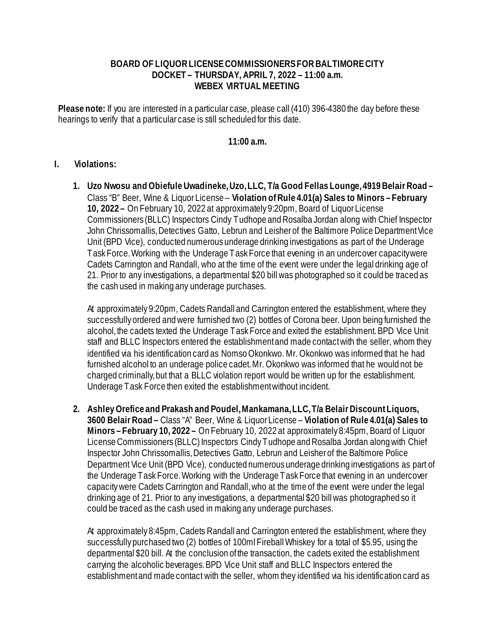## **BOARD OF LIQUOR LICENSE COMMISSIONERS FOR BALTIMORE CITY DOCKET – THURSDAY, APRIL 7, 2022 – 11:00 a.m. WEBEX VIRTUAL MEETING**

**Please note:** If you are interested in a particular case, please call (410) 396-4380 the day before these hearings to verify that a particular case is still scheduled for this date.

## **11:00 a.m.**

## **I. Violations:**

**1. Uzo Nwosu and Obiefule Uwadineke, Uzo, LLC, T/a Good Fellas Lounge, 4919 Belair Road –** Class "B" Beer, Wine & Liquor License – **Violation of Rule 4.01(a) Sales to Minors – February 10, 2022 –** On February 10, 2022 at approximately 9:20pm, Board of Liquor License Commissioners (BLLC) Inspectors Cindy Tudhope and Rosalba Jordan along with Chief Inspector John Chrissomallis, Detectives Gatto, Lebrun and Leisher of the Baltimore Police Department Vice Unit (BPD Vice), conducted numerous underage drinking investigations as part of the Underage Task Force. Working with the Underage Task Force that evening in an undercover capacity were Cadets Carrington and Randall, who at the time of the event were under the legal drinking age of 21. Prior to any investigations, a departmental \$20 bill was photographed so it could be traced as the cash used in making any underage purchases.

At approximately 9:20pm, Cadets Randall and Carrington entered the establishment, where they successfully ordered and were furnished two (2) bottles of Corona beer. Upon being furnished the alcohol, the cadets texted the Underage Task Force and exited the establishment. BPD Vice Unit staff and BLLC Inspectors entered the establishment and made contact with the seller, whom they identified via his identification card as Nomso Okonkwo. Mr. Okonkwo was informed that he had furnished alcohol to an underage police cadet. Mr. Okonkwo was informed that he would not be charged criminally, but that a BLLC violation report would be written up for the establishment. Underage Task Force then exited the establishment without incident.

**2. Ashley Orefice and Prakash and Poudel, Mankamana, LLC, T/a Belair Discount Liquors, 3600 Belair Road –** Class "A" Beer, Wine & Liquor License – **Violation of Rule 4.01(a) Sales to Minors – February 10, 2022 –** On February 10, 2022 at approximately 8:45pm, Board of Liquor License Commissioners (BLLC) Inspectors Cindy Tudhope and Rosalba Jordan along with Chief Inspector John Chrissomallis, Detectives Gatto, Lebrun and Leisher of the Baltimore Police Department Vice Unit (BPD Vice), conducted numerous underage drinking investigations as part of the Underage Task Force. Working with the Underage Task Force that evening in an undercover capacity were Cadets Carrington and Randall, who at the time of the event were under the legal drinking age of 21. Prior to any investigations, a departmental \$20 bill was photographed so it could be traced as the cash used in making any underage purchases.

At approximately 8:45pm, Cadets Randall and Carrington entered the establishment, where they successfully purchased two (2) bottles of 100ml Fireball Whiskey for a total of \$5.95, using the departmental \$20 bill. At the conclusion of the transaction, the cadets exited the establishment carrying the alcoholic beverages. BPD Vice Unit staff and BLLC Inspectors entered the establishment and made contact with the seller, whom they identified via his identification card as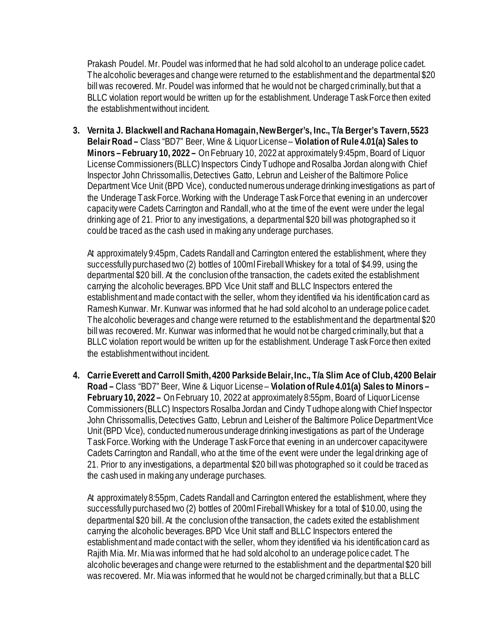Prakash Poudel. Mr. Poudel was informed that he had sold alcohol to an underage police cadet. The alcoholic beverages and change were returned to the establishment and the departmental \$20 bill was recovered. Mr. Poudel was informed that he would not be charged criminally, but that a BLLC violation report would be written up for the establishment. Underage Task Force then exited the establishment without incident.

**3. Vernita J. Blackwell and Rachana Homagain, New Berger's, Inc., T/a Berger's Tavern, 5523 Belair Road –** Class "BD7" Beer, Wine & Liquor License – **Violation of Rule 4.01(a) Sales to Minors – February 10, 2022 –** On February 10, 2022 at approximately 9:45pm, Board of Liquor License Commissioners (BLLC) Inspectors Cindy Tudhope and Rosalba Jordan along with Chief Inspector John Chrissomallis, Detectives Gatto, Lebrun and Leisher of the Baltimore Police Department Vice Unit (BPD Vice), conducted numerous underage drinking investigations as part of the Underage Task Force. Working with the Underage Task Force that evening in an undercover capacity were Cadets Carrington and Randall, who at the time of the event were under the legal drinking age of 21. Prior to any investigations, a departmental \$20 bill was photographed so it could be traced as the cash used in making any underage purchases.

At approximately 9:45pm, Cadets Randall and Carrington entered the establishment, where they successfully purchased two (2) bottles of 100ml Fireball Whiskey for a total of \$4.99, using the departmental \$20 bill. At the conclusion of the transaction, the cadets exited the establishment carrying the alcoholic beverages. BPD Vice Unit staff and BLLC Inspectors entered the establishment and made contact with the seller, whom they identified via his identification card as Ramesh Kunwar. Mr. Kunwar was informed that he had sold alcohol to an underage police cadet. The alcoholic beverages and change were returned to the establishment and the departmental \$20 bill was recovered. Mr. Kunwar was informed that he would not be charged criminally, but that a BLLC violation report would be written up for the establishment. Underage Task Force then exited the establishment without incident.

**4. Carrie Everett and Carroll Smith, 4200 Parkside Belair, Inc., T/a Slim Ace of Club, 4200 Belair Road –** Class "BD7" Beer, Wine & Liquor License – **Violation of Rule 4.01(a) Sales to Minors – February 10, 2022 –** On February 10, 2022 at approximately 8:55pm, Board of Liquor License Commissioners (BLLC) Inspectors Rosalba Jordan and Cindy Tudhope along with Chief Inspector John Chrissomallis, Detectives Gatto, Lebrun and Leisher of the Baltimore Police Department Vice Unit (BPD Vice), conducted numerous underage drinking investigations as part of the Underage Task Force. Working with the Underage Task Force that evening in an undercover capacity were Cadets Carrington and Randall, who at the time of the event were under the legal drinking age of 21. Prior to any investigations, a departmental \$20 bill was photographed so it could be traced as the cash used in making any underage purchases.

At approximately 8:55pm, Cadets Randall and Carrington entered the establishment, where they successfully purchased two (2) bottles of 200ml Fireball Whiskey for a total of \$10.00, using the departmental \$20 bill. At the conclusion of the transaction, the cadets exited the establishment carrying the alcoholic beverages. BPD Vice Unit staff and BLLC Inspectors entered the establishment and made contact with the seller, whom they identified via his identification card as Rajith Mia. Mr. Mia was informed that he had sold alcohol to an underage police cadet. The alcoholic beverages and change were returned to the establishment and the departmental \$20 bill was recovered. Mr. Mia was informed that he would not be charged criminally, but that a BLLC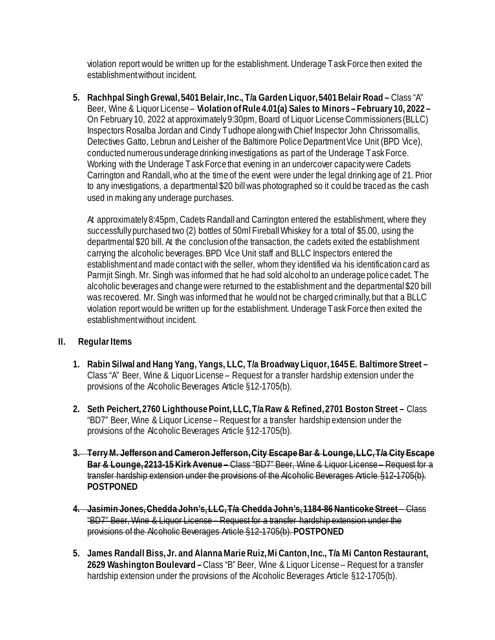violation report would be written up for the establishment. Underage Task Force then exited the establishment without incident.

**5. Rachhpal Singh Grewal, 5401 Belair, Inc., T/a Garden Liquor, 5401 Belair Road –** Class "A" Beer, Wine & Liquor License – **Violation of Rule 4.01(a) Sales to Minors – February 10, 2022 –**  On February 10, 2022 at approximately 9:30pm, Board of Liquor License Commissioners (BLLC) Inspectors Rosalba Jordan and Cindy Tudhope along with Chief Inspector John Chrissomallis, Detectives Gatto, Lebrun and Leisher of the Baltimore Police Department Vice Unit (BPD Vice), conducted numerous underage drinking investigations as part of the Underage Task Force. Working with the Underage Task Force that evening in an undercover capacity were Cadets Carrington and Randall, who at the time of the event were under the legal drinking age of 21. Prior to any investigations, a departmental \$20 bill was photographed so it could be traced as the cash used in making any underage purchases.

At approximately 8:45pm, Cadets Randall and Carrington entered the establishment, where they successfully purchased two (2) bottles of 50ml Fireball Whiskey for a total of \$5.00, using the departmental \$20 bill. At the conclusion of the transaction, the cadets exited the establishment carrying the alcoholic beverages. BPD Vice Unit staff and BLLC Inspectors entered the establishment and made contact with the seller, whom they identified via his identification card as Parmjit Singh. Mr. Singh was informed that he had sold alcohol to an underage police cadet. The alcoholic beverages and change were returned to the establishment and the departmental \$20 bill was recovered. Mr. Singh was informed that he would not be charged criminally, but that a BLLC violation report would be written up for the establishment. Underage Task Force then exited the establishment without incident.

## **II. Regular Items**

- **1. Rabin Silwal and Hang Yang, Yangs, LLC, T/a Broadway Liquor, 1645 E. Baltimore Street –** Class "A" Beer, Wine & Liquor License – Request for a transfer hardship extension under the provisions of the Alcoholic Beverages Article §12-1705(b).
- **2. Seth Peichert, 2760 Lighthouse Point, LLC, T/a Raw & Refined, 2701 Boston Street** Class "BD7" Beer, Wine & Liquor License – Request for a transfer hardship extension under the provisions of the Alcoholic Beverages Article §12-1705(b).
- **3. Terry M. Jefferson and Cameron Jefferson, City Escape Bar & Lounge, LLC, T/a City Escape Bar & Lounge, 2213-15 Kirk Avenue –** Class "BD7" Beer, Wine & Liquor License – Request for a transfer hardship extension under the provisions of the Alcoholic Beverages Article §12-1705(b). **POSTPONED**
- **4. Jasimin Jones, Chedda John's, LLC, T/a Chedda John's, 1184-86 Nanticoke Street** Class "BD7" Beer, Wine & Liquor License – Request for a transfer hardship extension under the provisions of the Alcoholic Beverages Article §12-1705(b). **POSTPONED**
- **5. James Randall Biss, Jr. and Alanna Marie Ruiz, Mi Canton, Inc., T/a Mi Canton Restaurant, 2629 Washington Boulevard –**Class "B" Beer, Wine & Liquor License – Request for a transfer hardship extension under the provisions of the Alcoholic Beverages Article §12-1705(b).